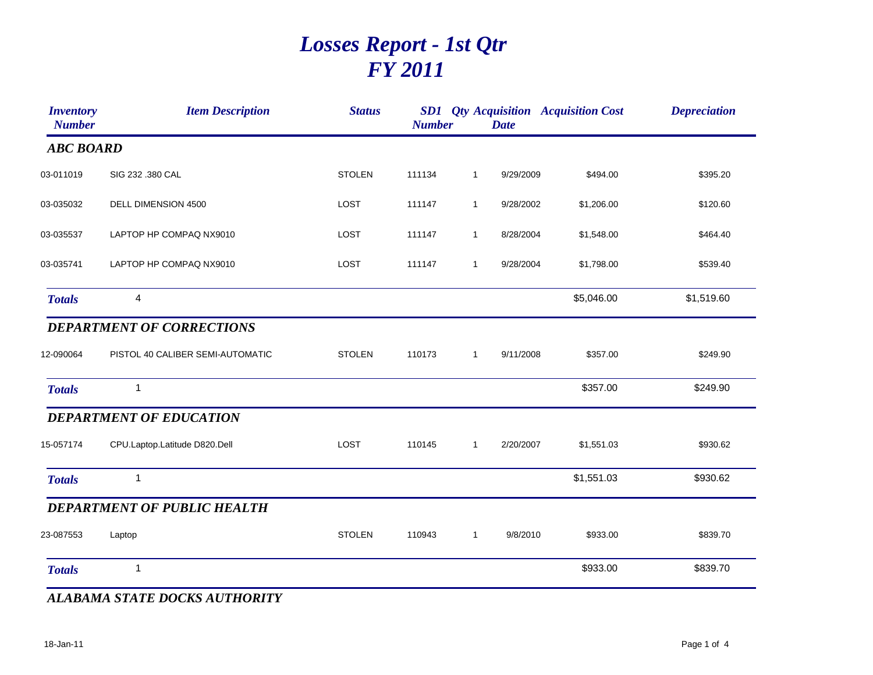## *Losses Report - 1st Qtr FY 2011*

| <b>Inventory</b><br><b>Number</b> | <b>Item Description</b>            | <b>Status</b> | <b>Number</b> |              | <b>Date</b> | <b>SD1</b> Qty Acquisition Acquisition Cost | <b>Depreciation</b> |
|-----------------------------------|------------------------------------|---------------|---------------|--------------|-------------|---------------------------------------------|---------------------|
| <b>ABC BOARD</b>                  |                                    |               |               |              |             |                                             |                     |
| 03-011019                         | SIG 232 .380 CAL                   | <b>STOLEN</b> | 111134        | $\mathbf{1}$ | 9/29/2009   | \$494.00                                    | \$395.20            |
| 03-035032                         | DELL DIMENSION 4500                | LOST          | 111147        | $\mathbf{1}$ | 9/28/2002   | \$1,206.00                                  | \$120.60            |
| 03-035537                         | LAPTOP HP COMPAQ NX9010            | LOST          | 111147        | $\mathbf{1}$ | 8/28/2004   | \$1,548.00                                  | \$464.40            |
| 03-035741                         | LAPTOP HP COMPAQ NX9010            | LOST          | 111147        | $\mathbf{1}$ | 9/28/2004   | \$1,798.00                                  | \$539.40            |
| <b>Totals</b>                     | 4                                  |               |               |              |             | \$5,046.00                                  | \$1,519.60          |
|                                   | <b>DEPARTMENT OF CORRECTIONS</b>   |               |               |              |             |                                             |                     |
| 12-090064                         | PISTOL 40 CALIBER SEMI-AUTOMATIC   | <b>STOLEN</b> | 110173        | $\mathbf{1}$ | 9/11/2008   | \$357.00                                    | \$249.90            |
| <b>Totals</b>                     | $\mathbf{1}$                       |               |               |              |             | \$357.00                                    | \$249.90            |
|                                   | <b>DEPARTMENT OF EDUCATION</b>     |               |               |              |             |                                             |                     |
| 15-057174                         | CPU.Laptop.Latitude D820.Dell      | LOST          | 110145        | $\mathbf{1}$ | 2/20/2007   | \$1,551.03                                  | \$930.62            |
| <b>Totals</b>                     | 1                                  |               |               |              |             | \$1,551.03                                  | \$930.62            |
|                                   | <b>DEPARTMENT OF PUBLIC HEALTH</b> |               |               |              |             |                                             |                     |
| 23-087553                         | Laptop                             | <b>STOLEN</b> | 110943        | $\mathbf{1}$ | 9/8/2010    | \$933.00                                    | \$839.70            |
| <b>Totals</b>                     | 1                                  |               |               |              |             | \$933.00                                    | \$839.70            |

*ALABAMA STATE DOCKS AUTHORITY*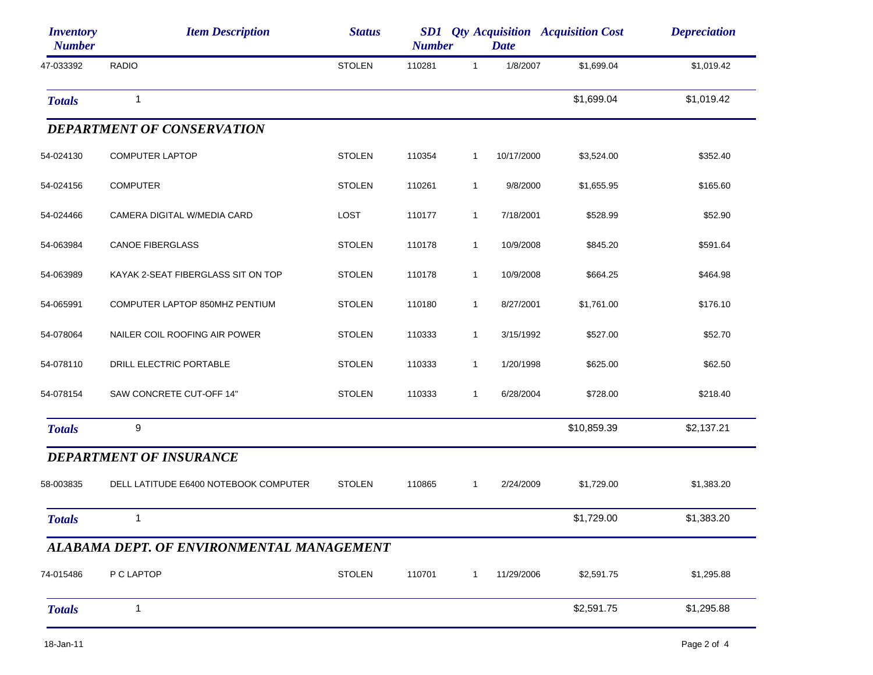| <i><b>Inventory</b></i><br><b>Number</b> | <b>Item Description</b>                   | <b>Status</b> | <b>Number</b> |              | <b>Date</b> | <b>SD1</b> Qty Acquisition Acquisition Cost | <b>Depreciation</b> |
|------------------------------------------|-------------------------------------------|---------------|---------------|--------------|-------------|---------------------------------------------|---------------------|
| 47-033392                                | <b>RADIO</b>                              | <b>STOLEN</b> | 110281        | $\mathbf{1}$ | 1/8/2007    | \$1,699.04                                  | \$1,019.42          |
| <b>Totals</b>                            | $\mathbf{1}$                              |               |               |              |             | \$1,699.04                                  | \$1,019.42          |
|                                          | <b>DEPARTMENT OF CONSERVATION</b>         |               |               |              |             |                                             |                     |
| 54-024130                                | <b>COMPUTER LAPTOP</b>                    | <b>STOLEN</b> | 110354        | $\mathbf{1}$ | 10/17/2000  | \$3,524.00                                  | \$352.40            |
| 54-024156                                | <b>COMPUTER</b>                           | <b>STOLEN</b> | 110261        | $\mathbf{1}$ | 9/8/2000    | \$1,655.95                                  | \$165.60            |
| 54-024466                                | CAMERA DIGITAL W/MEDIA CARD               | <b>LOST</b>   | 110177        | $\mathbf{1}$ | 7/18/2001   | \$528.99                                    | \$52.90             |
| 54-063984                                | <b>CANOE FIBERGLASS</b>                   | <b>STOLEN</b> | 110178        | $\mathbf{1}$ | 10/9/2008   | \$845.20                                    | \$591.64            |
| 54-063989                                | KAYAK 2-SEAT FIBERGLASS SIT ON TOP        | <b>STOLEN</b> | 110178        | $\mathbf{1}$ | 10/9/2008   | \$664.25                                    | \$464.98            |
| 54-065991                                | COMPUTER LAPTOP 850MHZ PENTIUM            | <b>STOLEN</b> | 110180        | $\mathbf{1}$ | 8/27/2001   | \$1,761.00                                  | \$176.10            |
| 54-078064                                | NAILER COIL ROOFING AIR POWER             | <b>STOLEN</b> | 110333        | $\mathbf{1}$ | 3/15/1992   | \$527.00                                    | \$52.70             |
| 54-078110                                | DRILL ELECTRIC PORTABLE                   | <b>STOLEN</b> | 110333        | $\mathbf{1}$ | 1/20/1998   | \$625.00                                    | \$62.50             |
| 54-078154                                | SAW CONCRETE CUT-OFF 14"                  | <b>STOLEN</b> | 110333        | $\mathbf{1}$ | 6/28/2004   | \$728.00                                    | \$218.40            |
| <b>Totals</b>                            | 9                                         |               |               |              |             | \$10,859.39                                 | \$2,137.21          |
|                                          | <b>DEPARTMENT OF INSURANCE</b>            |               |               |              |             |                                             |                     |
| 58-003835                                | DELL LATITUDE E6400 NOTEBOOK COMPUTER     | <b>STOLEN</b> | 110865        | $\mathbf{1}$ | 2/24/2009   | \$1,729.00                                  | \$1,383.20          |
| <b>Totals</b>                            | $\mathbf{1}$                              |               |               |              |             | \$1,729.00                                  | \$1,383.20          |
|                                          | ALABAMA DEPT. OF ENVIRONMENTAL MANAGEMENT |               |               |              |             |                                             |                     |
| 74-015486                                | P C LAPTOP                                | <b>STOLEN</b> | 110701        | $\mathbf{1}$ | 11/29/2006  | \$2,591.75                                  | \$1,295.88          |
| <b>Totals</b>                            | 1                                         |               |               |              |             | \$2,591.75                                  | \$1,295.88          |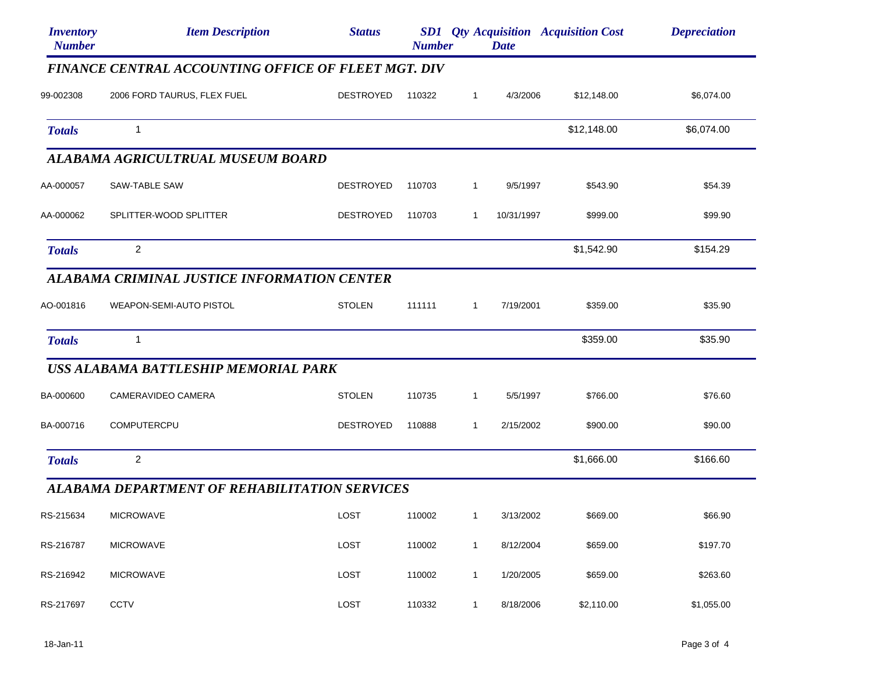| <i><b>Inventory</b></i><br><b>Number</b> | <b>Item Description</b>                              | <b>Status</b>    | <b>Number</b> |              | <b>Date</b> | <b>SD1</b> Qty Acquisition Acquisition Cost | <b>Depreciation</b> |
|------------------------------------------|------------------------------------------------------|------------------|---------------|--------------|-------------|---------------------------------------------|---------------------|
|                                          | FINANCE CENTRAL ACCOUNTING OFFICE OF FLEET MGT. DIV  |                  |               |              |             |                                             |                     |
| 99-002308                                | 2006 FORD TAURUS, FLEX FUEL                          | DESTROYED        | 110322        | $\mathbf{1}$ | 4/3/2006    | \$12,148.00                                 | \$6,074.00          |
| <b>Totals</b>                            | 1                                                    |                  |               |              |             | \$12,148.00                                 | \$6,074.00          |
|                                          | ALABAMA AGRICULTRUAL MUSEUM BOARD                    |                  |               |              |             |                                             |                     |
| AA-000057                                | SAW-TABLE SAW                                        | DESTROYED        | 110703        | $\mathbf{1}$ | 9/5/1997    | \$543.90                                    | \$54.39             |
| AA-000062                                | SPLITTER-WOOD SPLITTER                               | <b>DESTROYED</b> | 110703        | 1            | 10/31/1997  | \$999.00                                    | \$99.90             |
| <b>Totals</b>                            | 2                                                    |                  |               |              |             | \$1,542.90                                  | \$154.29            |
|                                          | ALABAMA CRIMINAL JUSTICE INFORMATION CENTER          |                  |               |              |             |                                             |                     |
| AO-001816                                | WEAPON-SEMI-AUTO PISTOL                              | <b>STOLEN</b>    | 111111        | $\mathbf{1}$ | 7/19/2001   | \$359.00                                    | \$35.90             |
| <b>Totals</b>                            | $\mathbf{1}$                                         |                  |               |              |             | \$359.00                                    | \$35.90             |
|                                          | USS ALABAMA BATTLESHIP MEMORIAL PARK                 |                  |               |              |             |                                             |                     |
| BA-000600                                | CAMERAVIDEO CAMERA                                   | <b>STOLEN</b>    | 110735        | $\mathbf{1}$ | 5/5/1997    | \$766.00                                    | \$76.60             |
| BA-000716                                | <b>COMPUTERCPU</b>                                   | <b>DESTROYED</b> | 110888        | $\mathbf{1}$ | 2/15/2002   | \$900.00                                    | \$90.00             |
| <b>Totals</b>                            | 2                                                    |                  |               |              |             | \$1,666.00                                  | \$166.60            |
|                                          | <b>ALABAMA DEPARTMENT OF REHABILITATION SERVICES</b> |                  |               |              |             |                                             |                     |
|                                          | RS-215634 MICROWAVE                                  | LOST             | 110002        |              | 1 3/13/2002 | \$669.00                                    | \$66.90             |
| RS-216787                                | <b>MICROWAVE</b>                                     | LOST             | 110002        | $\mathbf{1}$ | 8/12/2004   | \$659.00                                    | \$197.70            |
| RS-216942                                | <b>MICROWAVE</b>                                     | LOST             | 110002        | $\mathbf{1}$ | 1/20/2005   | \$659.00                                    | \$263.60            |
| RS-217697                                | <b>CCTV</b>                                          | LOST             | 110332        | $\mathbf{1}$ | 8/18/2006   | \$2,110.00                                  | \$1,055.00          |